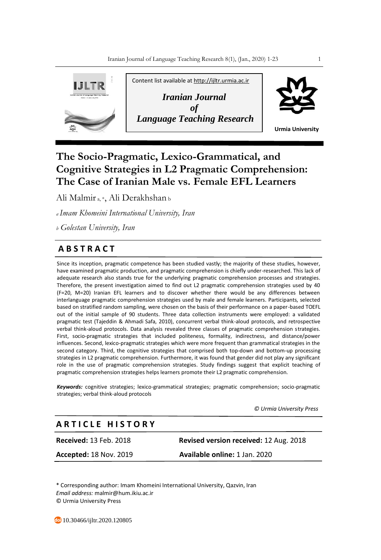

# **The Socio-Pragmatic, Lexico-Grammatical, and Cognitive Strategies in L2 Pragmatic Comprehension: The Case of Iranian Male vs. Female EFL Learners**

Ali Malmir a, \*, Ali Derakhshan <sup>b</sup>

*<sup>a</sup>Imam Khomeini International University, Iran*

*<sup>b</sup> Golestan University, Iran*

## **A B S T R A C T**

Since its inception, pragmatic competence has been studied vastly; the majority of these studies, however, have examined pragmatic production, and pragmatic comprehension is chiefly under-researched. This lack of adequate research also stands true for the underlying pragmatic comprehension processes and strategies. Therefore, the present investigation aimed to find out L2 pragmatic comprehension strategies used by 40 (F=20, M=20) Iranian EFL learners and to discover whether there would be any differences between interlanguage pragmatic comprehension strategies used by male and female learners. Participants, selected based on stratified random sampling, were chosen on the basis of their performance on a paper-based TOEFL out of the initial sample of 90 students. Three data collection instruments were employed: a validated pragmatic test (Tajeddin & Ahmadi Safa, 2010), concurrent verbal think-aloud protocols, and retrospective verbal think-aloud protocols. Data analysis revealed three classes of pragmatic comprehension strategies. First, socio-pragmatic strategies that included politeness, formality, indirectness, and distance/power influences. Second, lexico-pragmatic strategies which were more frequent than grammatical strategies in the second category. Third, the cognitive strategies that comprised both top-down and bottom-up processing strategies in L2 pragmatic comprehension. Furthermore, it was found that gender did not play any significant role in the use of pragmatic comprehension strategies. Study findings suggest that explicit teaching of pragmatic comprehension strategies helps learners promote their L2 pragmatic comprehension.

*Keywords:* cognitive strategies; lexico-grammatical strategies; pragmatic comprehension; socio-pragmatic strategies; verbal think-aloud protocols

 *© Urmia University Press*

## **A R T I C L E H I S T O R Y**

**Received:** 13 Feb. 2018 **Revised version received:** 12 Aug. 2018 **Accepted:** 18 Nov. 2019 **Available online:** 1 Jan. 2020

\* Corresponding author: Imam Khomeini International University, Qazvin, Iran *Email address:* malmir@hum.ikiu.ac.ir © Urmia University Press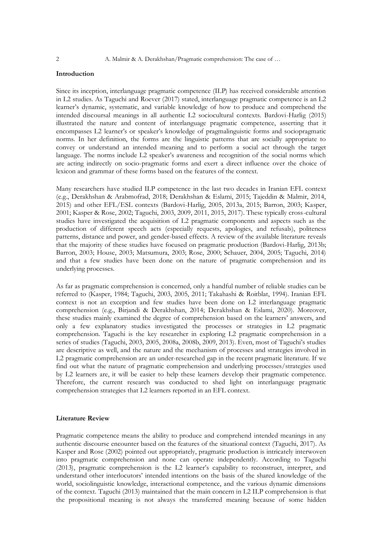## **Introduction**

Since its inception, interlanguage pragmatic competence (ILP) has received considerable attention in L2 studies. As Taguchi and Roever (2017) stated, interlanguage pragmatic competence is an L2 learner's dynamic, systematic, and variable knowledge of how to produce and comprehend the intended discoursal meanings in all authentic L2 sociocultural contexts. Bardovi-Harlig (2015) illustrated the nature and content of interlanguage pragmatic competence, asserting that it encompasses L2 learner's or speaker's knowledge of pragmalinguistic forms and sociopragmatic norms. In her definition, the forms are the linguistic patterns that are socially appropriate to convey or understand an intended meaning and to perform a social act through the target language. The norms include L2 speaker's awareness and recognition of the social norms which are acting indirectly on socio-pragmatic forms and exert a direct influence over the choice of lexicon and grammar of these forms based on the features of the context.

Many researchers have studied ILP competence in the last two decades in Iranian EFL context (e.g., Derakhshan & Arabmofrad, 2018; Derakhshan & Eslami, 2015; Tajeddin & Malmir, 2014, 2015) and other EFL/ESL contexts (Bardovi-Harlig, 2005, 2013a, 2015; Barron, 2003; Kasper, 2001; Kasper & Rose, 2002; Taguchi, 2003, 2009, 2011, 2015, 2017). These typically cross-cultural studies have investigated the acquisition of L2 pragmatic components and aspects such as the production of different speech acts (especially requests, apologies, and refusals), politeness patterns, distance and power, and gender-based effects. A review of the available literature reveals that the majority of these studies have focused on pragmatic production (Bardovi-Harlig, 2013b; Barron, 2003; House, 2003; Matsumura, 2003; Rose, 2000; Schauer, 2004, 2005; Taguchi, 2014) and that a few studies have been done on the nature of pragmatic comprehension and its underlying processes.

As far as pragmatic comprehension is concerned, only a handful number of reliable studies can be referred to (Kasper, 1984; Taguchi, 2003, 2005, 2011; Takahashi & Roitblat, 1994). Iranian EFL context is not an exception and few studies have been done on L2 interlanguage pragmatic comprehension (e.g., Birjandi & Derakhshan, 2014; Derakhshan & Eslami, 2020). Moreover, these studies mainly examined the degree of comprehension based on the learners' answers, and only a few explanatory studies investigated the processes or strategies in L2 pragmatic comprehension. Taguchi is the key researcher in exploring L2 pragmatic comprehension in a series of studies (Taguchi, 2003, 2005, 2008a, 2008b, 2009, 2013). Even, most of Taguchi's studies are descriptive as well, and the nature and the mechanism of processes and strategies involved in L2 pragmatic comprehension are an under-researched gap in the recent pragmatic literature. If we find out what the nature of pragmatic comprehension and underlying processes/strategies used by L2 learners are, it will be easier to help these learners develop their pragmatic competence. Therefore, the current research was conducted to shed light on interlanguage pragmatic comprehension strategies that L2 learners reported in an EFL context.

## **Literature Review**

Pragmatic competence means the ability to produce and comprehend intended meanings in any authentic discourse encounter based on the features of the situational context (Taguchi, 2017). As Kasper and Rose (2002) pointed out appropriately, pragmatic production is intricately interwoven into pragmatic comprehension and none can operate independently. According to Taguchi (2013), pragmatic comprehension is the L2 learner's capability to reconstruct, interpret, and understand other interlocutors' intended intentions on the basis of the shared knowledge of the world, sociolinguistic knowledge, interactional competence, and the various dynamic dimensions of the context. Taguchi (2013) maintained that the main concern in L2 ILP comprehension is that the propositional meaning is not always the transferred meaning because of some hidden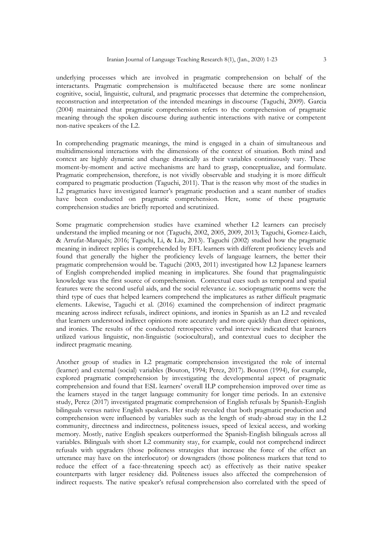underlying processes which are involved in pragmatic comprehension on behalf of the interactants. Pragmatic comprehension is multifaceted because there are some nonlinear cognitive, social, linguistic, cultural, and pragmatic processes that determine the comprehension, reconstruction and interpretation of the intended meanings in discourse (Taguchi, 2009). Garcia (2004) maintained that pragmatic comprehension refers to the comprehension of pragmatic meaning through the spoken discourse during authentic interactions with native or competent non-native speakers of the L2.

In comprehending pragmatic meanings, the mind is engaged in a chain of simultaneous and multidimensional interactions with the dimensions of the context of situation. Both mind and context are highly dynamic and change drastically as their variables continuously vary. These moment-by-moment and active mechanisms are hard to grasp, conceptualize, and formulate. Pragmatic comprehension, therefore, is not vividly observable and studying it is more difficult compared to pragmatic production (Taguchi, 2011). That is the reason why most of the studies in L2 pragmatics have investigated learner's pragmatic production and a scant number of studies have been conducted on pragmatic comprehension. Here, some of these pragmatic comprehension studies are briefly reported and scrutinized.

Some pragmatic comprehension studies have examined whether L2 learners can precisely understand the implied meaning or not (Taguchi, 2002, 2005, 2009, 2013; Taguchi, Gomez-Laich, & Arrufat-Marqués; 2016; Taguchi, Li, & Liu, 2013). Taguchi (2002) studied how the pragmatic meaning in indirect replies is comprehended by EFL learners with different proficiency levels and found that generally the higher the proficiency levels of language learners, the better their pragmatic comprehension would be. Taguchi (2003, 2011) investigated how L2 Japanese learners of English comprehended implied meaning in implicatures. She found that pragmalinguistic knowledge was the first source of comprehension. Contextual cues such as temporal and spatial features were the second useful aids, and the social relevance i.e. sociopragmatic norms were the third type of cues that helped learners comprehend the implicatures as rather difficult pragmatic elements. Likewise, Taguchi et al. (2016) examined the comprehension of indirect pragmatic meaning across indirect refusals, indirect opinions, and ironies in Spanish as an L2 and revealed that learners understood indirect opinions more accurately and more quickly than direct opinions, and ironies. The results of the conducted retrospective verbal interview indicated that learners utilized various linguistic, non-linguistic (sociocultural), and contextual cues to decipher the indirect pragmatic meaning.

Another group of studies in L2 pragmatic comprehension investigated the role of internal (learner) and external (social) variables (Bouton, 1994; Perez, 2017). Bouton (1994), for example, explored pragmatic comprehension by investigating the developmental aspect of pragmatic comprehension and found that ESL learners' overall ILP comprehension improved over time as the learners stayed in the target language community for longer time periods. In an extensive study, Perez (2017) investigated pragmatic comprehension of English refusals by Spanish-English bilinguals versus native English speakers. Her study revealed that both pragmatic production and comprehension were influenced by variables such as the length of study-abroad stay in the L2 community, directness and indirectness, politeness issues, speed of lexical access, and working memory. Mostly, native English speakers outperformed the Spanish-English bilinguals across all variables. Bilinguals with short L2 community stay, for example, could not comprehend indirect refusals with upgraders (those politeness strategies that increase the force of the effect an utterance may have on the interlocutor) or downgraders (those politeness markers that tend to reduce the effect of a face-threatening speech act) as effectively as their native speaker counterparts with larger residency did. Politeness issues also affected the comprehension of indirect requests. The native speaker's refusal comprehension also correlated with the speed of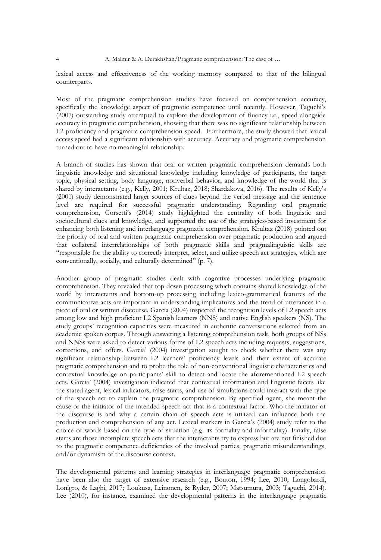lexical access and effectiveness of the working memory compared to that of the bilingual counterparts.

Most of the pragmatic comprehension studies have focused on comprehension accuracy, specifically the knowledge aspect of pragmatic competence until recently. However, Taguchi's (2007) outstanding study attempted to explore the development of fluency i.e., speed alongside accuracy in pragmatic comprehension, showing that there was no significant relationship between L2 proficiency and pragmatic comprehension speed. Furthermore, the study showed that lexical access speed had a significant relationship with accuracy. Accuracy and pragmatic comprehension turned out to have no meaningful relationship.

A branch of studies has shown that oral or written pragmatic comprehension demands both linguistic knowledge and situational knowledge including knowledge of participants, the target topic, physical setting, body language, nonverbal behavior, and knowledge of the world that is shared by interactants (e.g., Kelly, 2001; Krultaz, 2018; Shardakova, 2016). The results of Kelly's (2001) study demonstrated larger sources of clues beyond the verbal message and the sentence level are required for successful pragmatic understanding. Regarding oral pragmatic comprehension, Corsetti's (2014) study highlighted the centrality of both linguistic and sociocultural clues and knowledge, and supported the use of the strategies-based investment for enhancing both listening and interlanguage pragmatic comprehension. Krultaz (2018) pointed out the priority of oral and written pragmatic comprehension over pragmatic production and argued that collateral interrelationships of both pragmatic skills and pragmalinguistic skills are "responsible for the ability to correctly interpret, select, and utilize speech act strategies, which are conventionally, socially, and culturally determined" (p. 7).

Another group of pragmatic studies dealt with cognitive processes underlying pragmatic comprehension. They revealed that top-down processing which contains shared knowledge of the world by interactants and bottom-up processing including lexico-grammatical features of the communicative acts are important in understanding implicatures and the trend of utterances in a piece of oral or written discourse. Garcia (2004) inspected the recognition levels of L2 speech acts among low and high proficient L2 Spanish learners (NNS) and native English speakers (NS). The study groups' recognition capacities were measured in authentic conversations selected from an academic spoken corpus. Through answering a listening comprehension task, both groups of NSs and NNSs were asked to detect various forms of L2 speech acts including requests, suggestions, corrections, and offers. Garcia' (2004) investigation sought to check whether there was any significant relationship between L2 learners' proficiency levels and their extent of accurate pragmatic comprehension and to probe the role of non-conventional linguistic characteristics and contextual knowledge on participants' skill to detect and locate the aforementioned L2 speech acts. Garcia' (2004) investigation indicated that contextual information and linguistic facets like the stated agent, lexical indicators, false starts, and use of simulations could interact with the type of the speech act to explain the pragmatic comprehension. By specified agent, she meant the cause or the initiator of the intended speech act that is a contextual factor. Who the initiator of the discourse is and why a certain chain of speech acts is utilized can influence both the production and comprehension of any act. Lexical markers in Garcia's (2004) study refer to the choice of words based on the type of situation (e.g. its formality and informality). Finally, false starts are those incomplete speech acts that the interactants try to express but are not finished due to the pragmatic competence deficiencies of the involved parties, pragmatic misunderstandings, and/or dynamism of the discourse context.

The developmental patterns and learning strategies in interlanguage pragmatic comprehension have been also the target of extensive research (e.g., Bouton, 1994; Lee, 2010; Longobardi, Lonigro, & Laghi, 2017; Loukusa, Leinonen, & Ryder, 2007; Matsumura, 2003; Taguchi, 2014). Lee (2010), for instance, examined the developmental patterns in the interlanguage pragmatic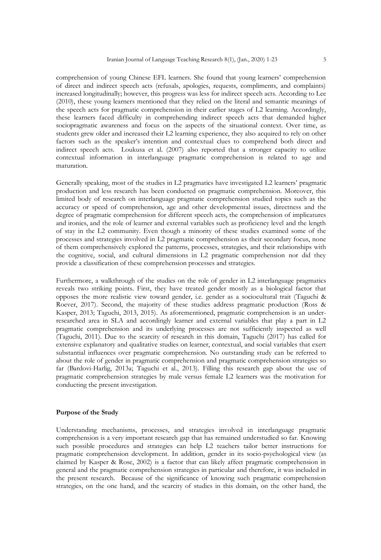comprehension of young Chinese EFL learners. She found that young learners' comprehension of direct and indirect speech acts (refusals, apologies, requests, compliments, and complaints) increased longitudinally; however, this progress was less for indirect speech acts. According to Lee (2010), these young learners mentioned that they relied on the literal and semantic meanings of the speech acts for pragmatic comprehension in their earlier stages of L2 learning. Accordingly, these learners faced difficulty in comprehending indirect speech acts that demanded higher sociopragmatic awareness and focus on the aspects of the situational context. Over time, as students grew older and increased their L2 learning experience, they also acquired to rely on other factors such as the speaker's intention and contextual clues to comprehend both direct and indirect speech acts. Loukusa et al. (2007) also reported that a stronger capacity to utilize contextual information in interlanguage pragmatic comprehension is related to age and maturation.

Generally speaking, most of the studies in L2 pragmatics have investigated L2 learners' pragmatic production and less research has been conducted on pragmatic comprehension. Moreover, this limited body of research on interlanguage pragmatic comprehension studied topics such as the accuracy or speed of comprehension, age and other developmental issues, directness and the degree of pragmatic comprehension for different speech acts, the comprehension of implicatures and ironies, and the role of learner and external variables such as proficiency level and the length of stay in the L2 community. Even though a minority of these studies examined some of the processes and strategies involved in L2 pragmatic comprehension as their secondary focus, none of them comprehensively explored the patterns, processes, strategies, and their relationships with the cognitive, social, and cultural dimensions in L2 pragmatic comprehension nor did they provide a classification of these comprehension processes and strategies.

Furthermore, a walkthrough of the studies on the role of gender in L2 interlanguage pragmatics reveals two striking points. First, they have treated gender mostly as a biological factor that opposes the more realistic view toward gender, i.e. gender as a sociocultural trait (Taguchi & Roever, 2017). Second, the majority of these studies address pragmatic production (Ross & Kasper, 2013; Taguchi, 2013, 2015). As aforementioned, pragmatic comprehension is an underresearched area in SLA and accordingly learner and external variables that play a part in L2 pragmatic comprehension and its underlying processes are not sufficiently inspected as well (Taguchi, 2011). Due to the scarcity of research in this domain, Taguchi (2017) has called for extensive explanatory and qualitative studies on learner, contextual, and social variables that exert substantial influences over pragmatic comprehension. No outstanding study can be referred to about the role of gender in pragmatic comprehension and pragmatic comprehension strategies so far (Bardovi-Harlig, 2013a; Taguchi et al., 2013). Filling this research gap about the use of pragmatic comprehension strategies by male versus female L2 learners was the motivation for conducting the present investigation.

## **Purpose of the Study**

Understanding mechanisms, processes, and strategies involved in interlanguage pragmatic comprehension is a very important research gap that has remained understudied so far. Knowing such possible procedures and strategies can help L2 teachers tailor better instructions for pragmatic comprehension development. In addition, gender in its socio-psychological view (as claimed by Kasper & Rose, 2002) is a factor that can likely affect pragmatic comprehension in general and the pragmatic comprehension strategies in particular and therefore, it was included in the present research. Because of the significance of knowing such pragmatic comprehension strategies, on the one hand, and the scarcity of studies in this domain, on the other hand, the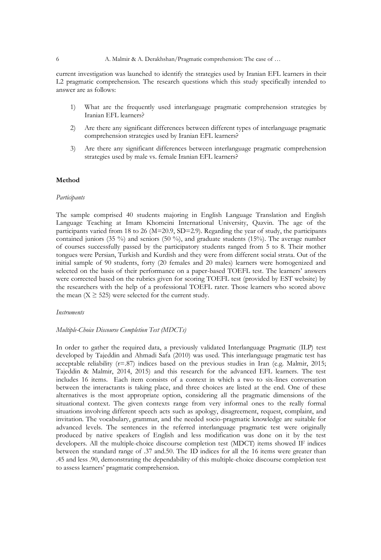#### 6 A. Malmir & A. Derakhshan/Pragmatic comprehension: The case of …

current investigation was launched to identify the strategies used by Iranian EFL learners in their L2 pragmatic comprehension. The research questions which this study specifically intended to answer are as follows:

- 1) What are the frequently used interlanguage pragmatic comprehension strategies by Iranian EFL learners?
- 2) Are there any significant differences between different types of interlanguage pragmatic comprehension strategies used by Iranian EFL learners?
- 3) Are there any significant differences between interlanguage pragmatic comprehension strategies used by male vs. female Iranian EFL learners?

## **Method**

#### *Participants*

The sample comprised 40 students majoring in English Language Translation and English Language Teaching at Imam Khomeini International University, Qazvin. The age of the participants varied from 18 to 26 (M=20.9, SD=2.9). Regarding the year of study, the participants contained juniors (35 %) and seniors (50 %), and graduate students (15%). The average number of courses successfully passed by the participatory students ranged from 5 to 8. Their mother tongues were Persian, Turkish and Kurdish and they were from different social strata. Out of the initial sample of 90 students, forty (20 females and 20 males) learners were homogenized and selected on the basis of their performance on a paper-based TOEFL test. The learners' answers were corrected based on the rubrics given for scoring TOEFL test (provided by EST website) by the researchers with the help of a professional TOEFL rater. Those learners who scored above the mean  $(X \ge 525)$  were selected for the current study.

#### *Instruments*

## *Multiple-Choice Discourse Completion Test (MDCTs)*

In order to gather the required data, a previously validated Interlanguage Pragmatic (ILP) test developed by Tajeddin and Ahmadi Safa (2010) was used. This interlanguage pragmatic test has acceptable reliability  $(r=87)$  indices based on the previous studies in Iran (e.g. Malmir, 2015; Tajeddin & Malmir, 2014, 2015) and this research for the advanced EFL learners. The test includes 16 items. Each item consists of a context in which a two to six-lines conversation between the interactants is taking place, and three choices are listed at the end. One of these alternatives is the most appropriate option, considering all the pragmatic dimensions of the situational context. The given contexts range from very informal ones to the really formal situations involving different speech acts such as apology, disagreement, request, complaint, and invitation. The vocabulary, grammar, and the needed socio-pragmatic knowledge are suitable for advanced levels. The sentences in the referred interlanguage pragmatic test were originally produced by native speakers of English and less modification was done on it by the test developers. All the multiple-choice discourse completion test (MDCT) items showed IF indices between the standard range of .37 and.50. The ID indices for all the 16 items were greater than .45 and less .90, demonstrating the dependability of this multiple-choice discourse completion test to assess learners' pragmatic comprehension.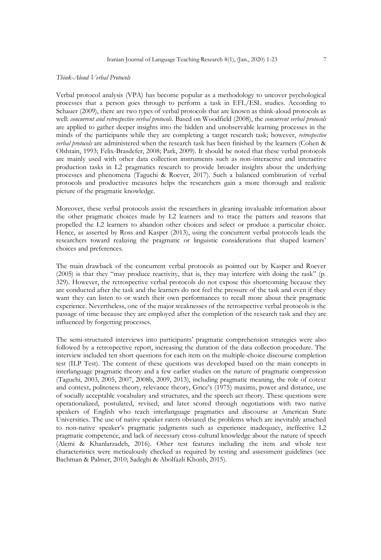#### *Think-Aloud Verbal Protocols*

Verbal protocol analysis (VPA) has become popular as a methodology to uncover psychological processes that a person goes through to perform a task in EFL/ESL studies. According to Schauer (2009), there are two types of verbal protocols that are known as think-aloud protocols as well: *concurrent and retrospective verbal protocols.* Based on Woodfield (2008), the *concurrent verbal protocols* are applied to gather deeper insights into the hidden and unobservable learning processes in the minds of the participants while they are completing a target research task; however, *retrospective verbal protocols* are administered when the research task has been finished by the learners (Cohen & Olshtain, 1993; Felix-Brasdefer, 2008; Park, 2009). It should be noted that these verbal protocols are mainly used with other data collection instruments such as non-interactive and interactive production tasks in L2 pragmatics research to provide broader insights about the underlying processes and phenomena (Taguchi & Roever, 2017). Such a balanced combination of verbal protocols and productive measures helps the researchers gain a more thorough and realistic picture of the pragmatic knowledge.

Moreover, these verbal protocols assist the researchers in gleaning invaluable information about the other pragmatic choices made by L2 learners and to trace the patters and reasons that propelled the L2 learners to abandon other choices and select or produce a particular choice. Hence, as asserted by Ross and Kasper (2013), using the concurrent verbal protocols leads the researchers toward realizing the pragmatic or linguistic considerations that shaped learners' choices and preferences.

The main drawback of the concurrent verbal protocols as pointed out by Kasper and Roever (2005) is that they "may produce reactivity, that is, they may interfere with doing the task" (p. 329). However, the retrospective verbal protocols do not expose this shortcoming because they are conducted after the task and the learners do not feel the pressure of the task and even if they want they can listen to or watch their own performances to recall more about their pragmatic experience. Nevertheless, one of the major weaknesses of the retrospective verbal protocols is the passage of time because they are employed after the completion of the research task and they are influenced by forgetting processes.

The semi-structured interviews into participants' pragmatic comprehension strategies were also followed by a retrospective report, increasing the duration of the data collection procedure. The interview included ten short questions for each item on the multiple-choice discourse completion test (ILP Test). The content of these questions was developed based on the main concepts in interlanguage pragmatic theory and a few earlier studies on the nature of pragmatic compression (Taguchi, 2003, 2005, 2007, 2008b, 2009, 2013), including pragmatic meaning, the role of cotext and context, politeness theory, relevance theory, Grice's (1975) maxims, power and distance, use of socially acceptable vocabulary and structures, and the speech act theory. These questions were operationalized, postulated, revised, and later scored through negotiations with two native speakers of English who teach interlanguage pragmatics and discourse at American State Universities. The use of native speaker raters obviated the problems which are inevitably attached to non-native speaker's pragmatic judgments such as experience inadequacy, ineffective L2 pragmatic competence, and lack of necessary cross-cultural knowledge about the nature of speech (Alemi & Khanlarzadeh, 2016). Other test features including the item and whole test characteristics were meticulously checked as required by testing and assessment guidelines (see Bachman & Palmer, 2010; Sadeghi & Abolfazli Khonb, 2015).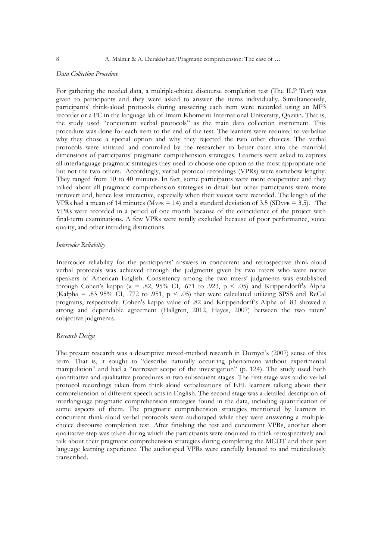## *Data Collection Procedure*

For gathering the needed data, a multiple-choice discourse completion test (The ILP Test) was given to participants and they were asked to answer the items individually. Simultaneously, participants' think-aloud protocols during answering each item were recorded using an MP3 recorder or a PC in the language lab of Imam Khomeini International University, Qazvin. That is, the study used "concurrent verbal protocols" as the main data collection instrument. This procedure was done for each item to the end of the test. The learners were required to verbalize why they chose a special option and why they rejected the two other choices. The verbal protocols were initiated and controlled by the researcher to better cater into the manifold dimensions of participants' pragmatic comprehension strategies. Learners were asked to express all interlanguage pragmatic strategies they used to choose one option as the most appropriate one but not the two others. Accordingly, verbal protocol recordings (VPRs) were somehow lengthy. They ranged from 10 to 40 minutes. In fact, some participants were more cooperative and they talked about all pragmatic comprehension strategies in detail but other participants were more introvert and, hence less interactive, especially when their voices were recorded. The length of the VPRs had a mean of 14 minutes (MvPR  $= 14$ ) and a standard deviation of 3.5 (SDvPR  $= 3.5$ ). The VPRs were recorded in a period of one month because of the coincidence of the project with final-term examinations. A few VPRs were totally excluded because of poor performance, voice quality, and other intruding distractions.

## *Intercoder Reliability*

Intercoder reliability for the participants' answers in concurrent and retrospective think-aloud verbal protocols was achieved through the judgments given by two raters who were native speakers of American English. Consistency among the two raters' judgments was established through Cohen's kappa ( $x = .82, 95\%$  CI, .671 to .923,  $p < .05$ ) and Krippendorff's Alpha (Kalpha = .83 95% CI, .772 to .951,  $p < .05$ ) that were calculated utilizing SPSS and ReCal programs, respectively. Cohen's kappa value of .82 and Krippendorff's Alpha of .83 showed a strong and dependable agreement (Hallgren, 2012, Hayes, 2007) between the two raters' subjective judgments.

#### *Research Design*

The present research was a descriptive mixed-method research in Dörnyei's (2007) sense of this term. That is, it sought to "describe naturally occurring phenomena without experimental manipulation" and had a "narrower scope of the investigation" (p. 124). The study used both quantitative and qualitative procedures in two subsequent stages. The first stage was audio verbal protocol recordings taken from think-aloud verbalizations of EFL learners talking about their comprehension of different speech acts in English. The second stage was a detailed description of interlanguage pragmatic comprehension strategies found in the data, including quantification of some aspects of them. The pragmatic comprehension strategies mentioned by learners in concurrent think-aloud verbal protocols were audiotaped while they were answering a multiplechoice discourse completion test. After finishing the test and concurrent VPRs, another short qualitative step was taken during which the participants were enquired to think retrospectively and talk about their pragmatic comprehension strategies during completing the MCDT and their past language learning experience. The audiotaped VPRs were carefully listened to and meticulously transcribed.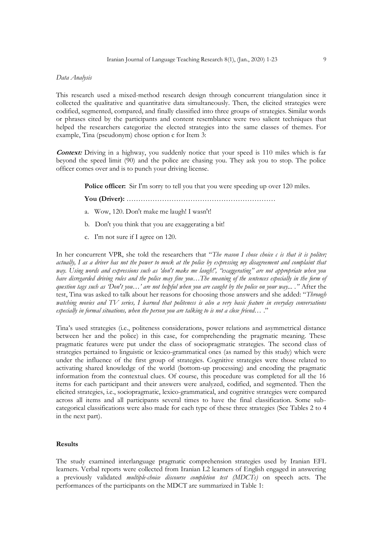## *Data Analysis*

This research used a mixed-method research design through concurrent triangulation since it collected the qualitative and quantitative data simultaneously. Then, the elicited strategies were codified, segmented, compared, and finally classified into three groups of strategies. Similar words or phrases cited by the participants and content resemblance were two salient techniques that helped the researchers categorize the elected strategies into the same classes of themes. For example, Tina (pseudonym) chose option c for Item 3:

**Context:** Driving in a highway, you suddenly notice that your speed is 110 miles which is far beyond the speed limit (90) and the police are chasing you. They ask you to stop. The police officer comes over and is to punch your driving license.

**Police officer:** Sir I'm sorry to tell you that you were speeding up over 120 miles.

**You (Driver):** ………………………………………………………

- a. Wow, 120. Don't make me laugh! I wasn't!
- b. Don't you think that you are exaggerating a bit!
- c. I'm not sure if I agree on 120.

In her concurrent VPR, she told the researchers that "*The reason I chose choice c is that it is politer; actually, I as a driver has not the power to mock at the police by expressing my disagreement and complaint that way. Using words and expressions such as 'don't make me laugh!', "exaggerating" are not appropriate when you have disregarded driving rules and the police may fine you…The meaning of the sentences especially in the form of question tags such as 'Don't you…' are not helpful when you are caught by the police on your way... ."* After the test, Tina was asked to talk about her reasons for choosing those answers and she added: "*Through watching movies and TV series, I learned that politeness is also a very basic feature in everyday conversations especially in formal situations, when the person you are talking to is not a close friend…* ."

Tina's used strategies (i.e., politeness considerations, power relations and asymmetrical distance between her and the police) in this case, for comprehending the pragmatic meaning. These pragmatic features were put under the class of sociopragmatic strategies. The second class of strategies pertained to linguistic or lexico-grammatical ones (as named by this study) which were under the influence of the first group of strategies. Cognitive strategies were those related to activating shared knowledge of the world (bottom-up processing) and encoding the pragmatic information from the contextual clues. Of course, this procedure was completed for all the 16 items for each participant and their answers were analyzed, codified, and segmented. Then the elicited strategies, i.e., sociopragmatic, lexico-grammatical, and cognitive strategies were compared across all items and all participants several times to have the final classification. Some subcategorical classifications were also made for each type of these three strategies (See Tables 2 to 4 in the next part).

## **Results**

The study examined interlanguage pragmatic comprehension strategies used by Iranian EFL learners. Verbal reports were collected from Iranian L2 learners of English engaged in answering a previously validated *multiple-choice discourse completion test (MDCTs)* on speech acts. The performances of the participants on the MDCT are summarized in Table 1: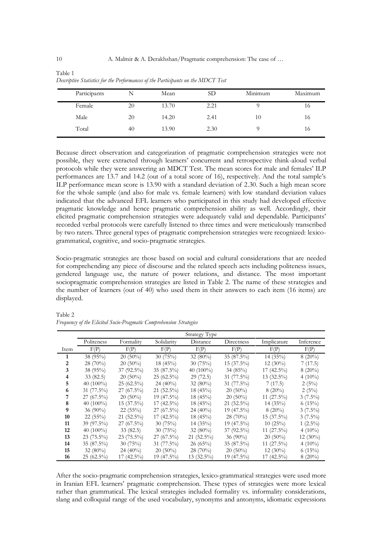| Participants |    | Mean  | SD   | Minimum | Maximum |
|--------------|----|-------|------|---------|---------|
| Female       | 20 | 13.70 | 2.21 |         | 10      |
| Male         | 20 | 14.20 | 2.41 | 10      | 16      |
| Total        | 40 | 13.90 | 2.30 |         | 16      |

| Table 1 |                                                                                  |  |  |  |  |
|---------|----------------------------------------------------------------------------------|--|--|--|--|
|         | Descriptive Statistics for the Performances of the Participants on the MDCT Test |  |  |  |  |

Because direct observation and categorization of pragmatic comprehension strategies were not possible, they were extracted through learners' concurrent and retrospective think-aloud verbal protocols while they were answering an MDCT Test. The mean scores for male and females' ILP performances are 13.7 and 14.2 (out of a total score of 16), respectively. And the total sample's ILP performance mean score is 13.90 with a standard deviation of 2.30. Such a high mean score for the whole sample (and also for male vs. female learners) with low standard deviation values indicated that the advanced EFL learners who participated in this study had developed effective pragmatic knowledge and hence pragmatic comprehension ability as well. Accordingly, their elicited pragmatic comprehension strategies were adequately valid and dependable. Participants' recorded verbal protocols were carefully listened to three times and were meticulously transcribed by two raters. Three general types of pragmatic comprehension strategies were recognized: lexicogrammatical, cognitive, and socio-pragmatic strategies.

Socio-pragmatic strategies are those based on social and cultural considerations that are needed for comprehending any piece of discourse and the related speech acts including politeness issues, gendered language use, the nature of power relations, and distance. The most important sociopragmatic comprehension strategies are listed in Table 2. The name of these strategies and the number of learners (out of 40) who used them in their answers to each item (16 items) are displayed.

|      |              |              |              | Strategy Type |              |               |            |
|------|--------------|--------------|--------------|---------------|--------------|---------------|------------|
|      | Politeness   | Formality    | Solidarity   | Distance      | Directness   | Implicature   | Inference  |
| Item | F(P)         | F(P)         | F(P)         | F(P)          | F(P)         | F(P)          | F(P)       |
| 1    | 38 (95%)     | $20(50\%)$   | 30(75%)      | 32 $(80\%)$   | 35 (87.5%)   | 14(35%)       | $8(20\%)$  |
| 2    | 28 (70%)     | $20(50\%)$   | 18 (45%)     | 30(75%)       | 15 (37.5%)   | $12(30\%)$    | 7(17.5)    |
| 3    | 38 (95%)     | 37 (92.5%)   | 35 (87.5%)   | 40 (100%)     | 34 $(85%)$   | 17 (42.5%)    | $8(20\%)$  |
| 4    | 33(82.5)     | $20(50\%)$   | $25(62.5\%)$ | 29(72.5)      | 31 (77.5%)   | 13 (32.5%)    | $4(10\%)$  |
| 5    | 40 $(100\%)$ | 25 (62.5%)   | $24(40\%)$   | 32 $(80\%)$   | 31 (77.5%)   | 7(17.5)       | 2(5%)      |
| 6    | 31 (77.5%)   | $27(67.5\%)$ | 21 (52.5%)   | 18 (45%)      | $20(50\%)$   | $8(20\%)$     | 2(5%)      |
|      | 27 (67.5%)   | $20(50\%)$   | 19 (47.5%)   | 18(45%)       | $20(50\%)$   | 11 $(27.5\%)$ | $3(7.5\%)$ |
| 8    | 40 $(100\%)$ | 15 (37.5%)   | 17 (42.5%)   | 18(45%)       | 21 (52.5%)   | 14(35%)       | 6(15%)     |
| 9    | $36(90\%)$   | $22(55\%)$   | $27(67.5\%)$ | $24(40\%)$    | 19 (47.5%)   | $8(20\%)$     | $3(7.5\%)$ |
| 10   | 22(55%)      | 21 (52.5%)   | 17 (42.5%)   | $18(45\%)$    | $28(70\%)$   | $15(37.5\%)$  | $3(7.5\%)$ |
| 11   | 39 (97.5%)   | $27(67.5\%)$ | 30(75%)      | 14(35%)       | 19 (47.5%)   | 10(25%)       | $1(2.5\%)$ |
| 12   | 40 $(100\%)$ | 33(82.5)     | 30(75%)      | 32 $(80\%)$   | $37(92.5\%)$ | 11 $(27.5\%)$ | $4(10\%)$  |
| 13   | 23 (75.5%)   | 23 (75.5%)   | $27(67.5\%)$ | 21 (52.5%)    | 36 $(90\%)$  | $20(50\%)$    | $12(30\%)$ |
| 14   | 35 (87.5%)   | 30(75%)      | 31 (77.5%)   | 26 (65%)      | $35(87.5\%)$ | $11(27.5\%)$  | 4 $(10\%)$ |
| 15   | 32 $(80\%)$  | $24(40\%)$   | $20(50\%)$   | 28 (70%)      | $20(50\%)$   | $12(30\%)$    | 6(15%)     |
| 16   | 25 (62.5%)   | 17 (42.5%)   | 19 (47.5%)   | 13 (32.5%)    | 19 (47.5%)   | 17 (42.5%)    | $8(20\%)$  |

Table 2 *Frequency of the Elicited Socio-Pragmatic Comprehension Strategies*

After the socio-pragmatic comprehension strategies, lexico-grammatical strategies were used more in Iranian EFL learners' pragmatic comprehension. These types of strategies were more lexical rather than grammatical. The lexical strategies included formality vs. informality considerations, slang and colloquial range of the used vocabulary, synonyms and antonyms, idiomatic expressions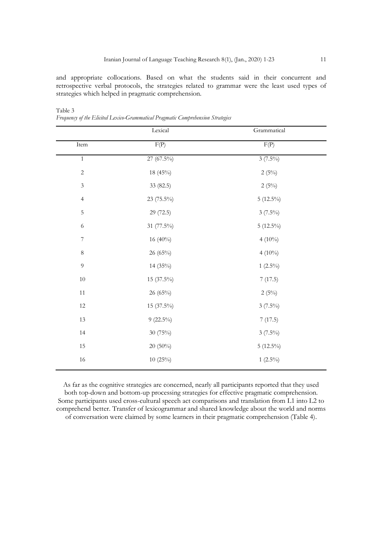and appropriate collocations. Based on what the students said in their concurrent and retrospective verbal protocols, the strategies related to grammar were the least used types of strategies which helped in pragmatic comprehension.

|                | Lexical     | Grammatical |
|----------------|-------------|-------------|
| Item           | F(P)        | F(P)        |
| $\mathbf{1}$   | 27 (67.5%)  | $3(7.5\%)$  |
| $\overline{c}$ | $18(45\%)$  | 2(5%)       |
| $\mathfrak{Z}$ | 33 (82.5)   | 2(5%)       |
| $\overline{4}$ | 23 (75.5%)  | $5(12.5\%)$ |
| $\mathbf 5$    | 29 (72.5)   | $3(7.5\%)$  |
| 6              | 31 (77.5%)  | $5(12.5\%)$ |
| $\overline{7}$ | 16 (40%)    | $4(10\%)$   |
| $\,8\,$        | 26 (65%)    | $4(10\%)$   |
| 9              | 14 (35%)    | $1(2.5\%)$  |
| $10\,$         | 15 (37.5%)  | 7(17.5)     |
| 11             | 26 (65%)    | 2(5%)       |
| 12             | 15 (37.5%)  | $3(7.5\%)$  |
| 13             | $9(22.5\%)$ | 7(17.5)     |
| 14             | 30 (75%)    | $3(7.5\%)$  |
| $15\,$         | 20 (50%)    | $5(12.5\%)$ |
| $16\,$         | 10(25%)     | $1(2.5\%)$  |

Table 3 *Frequency of the Elicited Lexico-Grammatical Pragmatic Comprehension Strategies*

As far as the cognitive strategies are concerned, nearly all participants reported that they used both top-down and bottom-up processing strategies for effective pragmatic comprehension. Some participants used cross-cultural speech act comparisons and translation from L1 into L2 to comprehend better. Transfer of lexicogrammar and shared knowledge about the world and norms of conversation were claimed by some learners in their pragmatic comprehension (Table 4).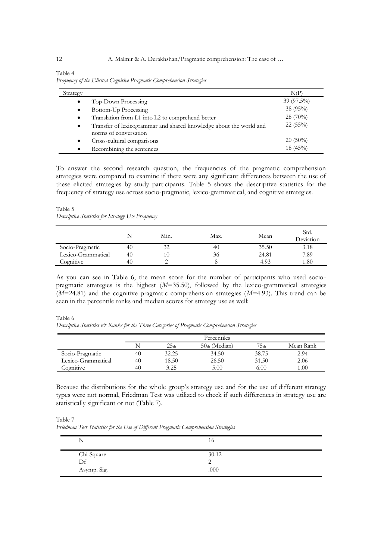| Table 4 |                                                                        |  |
|---------|------------------------------------------------------------------------|--|
|         | Frequency of the Elicited Cognitive Pragmatic Comprehension Strategies |  |

| Strategy  |                                                                                             | N(P)         |
|-----------|---------------------------------------------------------------------------------------------|--------------|
| $\bullet$ | Top-Down Processing                                                                         | $39(97.5\%)$ |
| $\bullet$ | Bottom-Up Processing                                                                        | 38 (95%)     |
| $\bullet$ | Translation from L1 into L2 to comprehend better                                            | 28 (70%)     |
| $\bullet$ | Transfer of lexicogrammar and shared knowledge about the world and<br>norms of conversation | $22(55\%)$   |
| ٠         | Cross-cultural comparisons                                                                  | $20(50\%)$   |
| $\bullet$ | Recombining the sentences                                                                   | 18 (45%)     |

To answer the second research question, the frequencies of the pragmatic comprehension strategies were compared to examine if there were any significant differences between the use of these elicited strategies by study participants. Table 5 shows the descriptive statistics for the frequency of strategy use across socio-pragmatic, lexico-grammatical, and cognitive strategies.

#### Table 5 *Descriptive Statistics for Strategy Use Frequency*

|                    | N  | Min. | Max. | Mean  | Std.<br>Deviation |
|--------------------|----|------|------|-------|-------------------|
| Socio-Pragmatic    | 40 | 32   | 40   | 35.50 | 3.18              |
| Lexico-Grammatical | 40 |      | 36   | 24.81 | 7.89              |
| Cognitive          | 40 |      |      | 4.93  | 1.80              |

As you can see in Table 6, the mean score for the number of participants who used sociopragmatic strategies is the highest (*M*=35.50), followed by the lexico-grammatical strategies (*M*=24.81) and the cognitive pragmatic comprehension strategies (*M*=4.93). This trend can be seen in the percentile ranks and median scores for strategy use as well:

Table 6

*Descriptive Statistics & Ranks for the Three Categories of Pragmatic Comprehension Strategies*

|                    |    |                  | Percentiles   |                  |                   |
|--------------------|----|------------------|---------------|------------------|-------------------|
|                    | N  | 25 <sub>th</sub> | 50th (Median) | 75 <sub>th</sub> | Mean Rank         |
| Socio-Pragmatic    | 40 | 32.25            | 34.50         | 38.75            | 2.94              |
| Lexico-Grammatical | 40 | 18.50            | 26.50         | 31.50            | 2.06              |
| Cognitive          | 40 | 3.25             | 5.00          | 6.00             | 1.00 <sub>1</sub> |

Because the distributions for the whole group's strategy use and for the use of different strategy types were not normal, Friedman Test was utilized to check if such differences in strategy use are statistically significant or not (Table 7).

Table 7 *Friedman Test Statistics for the Use of Different Pragmatic Comprehension Strategies*

| Ñ                 | 10    |  |
|-------------------|-------|--|
| Chi-Square        | 30.12 |  |
| Df<br>Asymp. Sig. | .000  |  |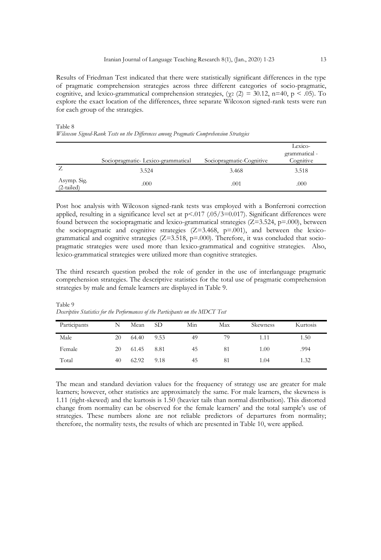Results of Friedman Test indicated that there were statistically significant differences in the type of pragmatic comprehension strategies across three different categories of socio-pragmatic, cognitive, and lexico-grammatical comprehension strategies, ( $\gamma$ 2 (2) = 30.12, n=40, p < .05). To explore the exact location of the differences, three separate Wilcoxon signed-rank tests were run for each group of the strategies.

|                             | Sociopragmatic-Lexico-grammatical | Sociopragmatic-Cognitive | Lexico-<br>grammatical -<br>Cognitive |
|-----------------------------|-----------------------------------|--------------------------|---------------------------------------|
| L                           | 3.524                             | 3.468                    | 3.518                                 |
| Asymp. Sig.<br>$(2-tailed)$ | .000                              | .001                     | .000                                  |

Table 8 *Wilcoxon Signed-Rank Tests on the Differences among Pragmatic Comprehension Strategies* 

Post hoc analysis with Wilcoxon signed-rank tests was employed with a Bonferroni correction applied, resulting in a significance level set at  $p < 017$  (.05/3=0.017). Significant differences were found between the sociopragmatic and lexico-grammatical strategies  $(Z=3.524, p=.000)$ , between the sociopragmatic and cognitive strategies  $(Z=3.468, p=0.01)$ , and between the lexicogrammatical and cognitive strategies ( $Z=3.518$ ,  $p=.000$ ). Therefore, it was concluded that sociopragmatic strategies were used more than lexico-grammatical and cognitive strategies. Also, lexico-grammatical strategies were utilized more than cognitive strategies.

The third research question probed the role of gender in the use of interlanguage pragmatic comprehension strategies. The descriptive statistics for the total use of pragmatic comprehension strategies by male and female learners are displayed in Table 9.

| Participants | N  | Mean  | SD <sub>-</sub> | Min | Max | Skewness | Kurtosis |
|--------------|----|-------|-----------------|-----|-----|----------|----------|
| Male         | 20 | 64.40 | 9.53            | 49  | 79  | 1.11     | 1.50     |
| Female       | 20 | 61.45 | 8.81            | 45  | 81  | 1.00     | .994     |
| Total        | 40 | 62.92 | 9.18            | 45  | 81  | 1.04     | 1.32     |

Table 9 *Descriptive Statistics for the Performances of the Participants on the MDCT Test*

The mean and standard deviation values for the frequency of strategy use are greater for male learners; however, other statistics are approximately the same. For male learners, the skewness is 1.11 (right-skewed) and the kurtosis is 1.50 (heavier tails than normal distribution). This distorted change from normality can be observed for the female learners' and the total sample's use of strategies. These numbers alone are not reliable predictors of departures from normality; therefore, the normality tests, the results of which are presented in Table 10, were applied.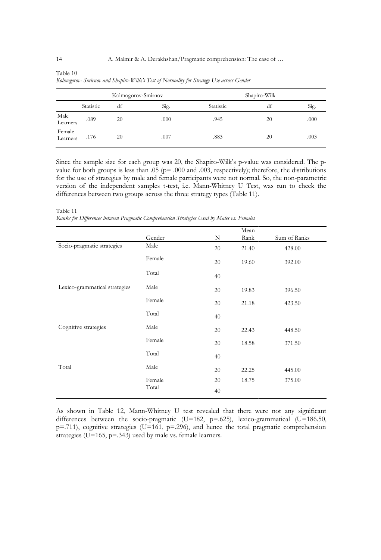|                    | Kolmogorov-Smirnov |    | Shapiro-Wilk |           |    |      |
|--------------------|--------------------|----|--------------|-----------|----|------|
|                    | Statistic          | df | Sig.         | Statistic | df | Sig. |
| Male<br>Learners   | .089               | 20 | .000         | .945      | 20 | .000 |
| Female<br>Learners | .176               | 20 | .007         | .883      | 20 | .003 |

Table 10 *Kolmogorov- Smirnov and Shapiro-Wilk's Test of Normality for Strategy Use across Gender*

Since the sample size for each group was 20, the Shapiro-Wilk's p-value was considered. The pvalue for both groups is less than  $.05$  (p=  $.000$  and  $.003$ , respectively); therefore, the distributions for the use of strategies by male and female participants were not normal. So, the non-parametric version of the independent samples t-test, i.e. Mann-Whitney U Test, was run to check the differences between two groups across the three strategy types (Table 11).

Table 11 *Ranks for Differences between Pragmatic Comprehension Strategies Used by Males vs. Females*

|                               |                 |    | Mean  |              |
|-------------------------------|-----------------|----|-------|--------------|
|                               | Gender          | N  | Rank  | Sum of Ranks |
| Socio-pragmatic strategies    | Male            | 20 | 21.40 | 428.00       |
|                               | Female          | 20 | 19.60 | 392.00       |
|                               | Total           | 40 |       |              |
| Lexico-grammatical strategies | Male            | 20 | 19.83 | 396.50       |
|                               | Female          | 20 | 21.18 | 423.50       |
|                               | Total           | 40 |       |              |
| Cognitive strategies          | Male            | 20 | 22.43 | 448.50       |
|                               | Female          | 20 | 18.58 | 371.50       |
|                               | Total           | 40 |       |              |
| Total                         | Male            | 20 | 22.25 | 445.00       |
|                               | Female<br>Total | 20 | 18.75 | 375.00       |
|                               |                 | 40 |       |              |

As shown in Table 12, Mann-Whitney U test revealed that there were not any significant differences between the socio-pragmatic (U=182,  $p=.625$ ), lexico-grammatical (U=186.50,  $p=711$ ), cognitive strategies (U=161,  $p=296$ ), and hence the total pragmatic comprehension strategies (U=165, p=.343) used by male vs. female learners.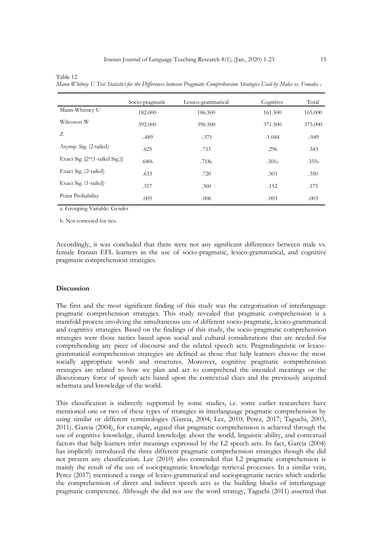Table 12

|                                  | Socio-pragmatic   | Lexico-grammatical | Cognitive         | Total             |
|----------------------------------|-------------------|--------------------|-------------------|-------------------|
| Mann-Whitney U                   | 182.000           | 186.500            | 161.500           | 165.000           |
| Wilcoxon W                       | 392.000           | 396.500            | 371.500           | 375.000           |
| Z                                | $-.489$           | $-.371$            | $-1.044$          | $-.949$           |
| Asymp. Sig. (2-tailed)           | .625              | .711               | .296              | .343              |
| Exact Sig. $[2*(1-tailed Sig.)]$ | .640 <sub>b</sub> | .718 <sub>b</sub>  | .301 <sub>b</sub> | .355 <sub>b</sub> |
| Exact Sig. (2-tailed)            | .633              | .720               | .303              | .350              |
| Exact Sig. (1-tailed)            | .317              | .360               | .152              | .175              |
| Point Probability                | .005              | .006               | .003              | .003              |

*Mann-Whitney U Test Statistics for the Differences between Pragmatic Comprehension Strategies Used by Males vs. Females <sup>a</sup>*

a. Grouping Variable: Gender

b. Not corrected for ties.

Accordingly, it was concluded that there were not any significant differences between male vs. female Iranian EFL learners in the use of socio-pragmatic, lexico-grammatical, and cognitive pragmatic comprehension strategies.

## **Discussion**

The first and the most significant finding of this study was the categorization of interlanguage pragmatic comprehension strategies. This study revealed that pragmatic comprehension is a manifold process involving the simultaneous use of different socio-pragmatic, lexico-grammatical and cognitive strategies. Based on the findings of this study, the socio-pragmatic comprehension strategies were those tactics based upon social and cultural considerations that are needed for comprehending any piece of discourse and the related speech acts. Pragmalinguistic or lexicogrammatical comprehension strategies are defined as those that help learners choose the most socially appropriate words and structures. Moreover, cognitive pragmatic comprehension strategies are related to how we plan and act to comprehend the intended meanings or the illocutionary force of speech acts based upon the contextual clues and the previously acquired schemata and knowledge of the world.

This classification is indirectly supported by some studies, i.e. some earlier researchers have mentioned one or two of these types of strategies in interlanguage pragmatic comprehension by using similar or different terminologies (Garcia, 2004; Lee, 2010; Perez, 2017; Taguchi, 2003, 2011). Garcia (2004), for example, argued that pragmatic comprehension is achieved through the use of cognitive knowledge, shared knowledge about the world, linguistic ability, and contextual factors that help learners infer meanings expressed by the L2 speech acts. In fact, Garcia (2004) has implicitly introduced the three different pragmatic comprehension strategies though she did not present any classification. Lee (2010) also contended that L2 pragmatic comprehension is mainly the result of the use of sociopragmatic knowledge retrieval processes. In a similar vein, Perez (2017) mentioned a range of lexico-grammatical and sociopragmatic tactics which underlie the comprehension of direct and indirect speech acts as the building blocks of interlanguage pragmatic competence. Although she did not use the word strategy, Taguchi (2011) asserted that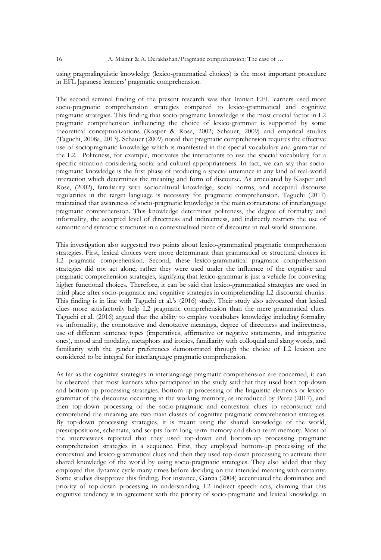using pragmalinguistic knowledge (lexico-grammatical choices) is the most important procedure in EFL Japanese learners' pragmatic comprehension.

The second seminal finding of the present research was that Iranian EFL learners used more socio-pragmatic comprehension strategies compared to lexico-grammatical and cognitive pragmatic strategies. This finding that socio-pragmatic knowledge is the most crucial factor in L2 pragmatic comprehension influencing the choice of lexico-grammar is supported by some theoretical conceptualizations (Kasper & Rose, 2002; Schauer, 2009) and empirical studies (Taguchi, 2008a, 2013). Schauer (2009) noted that pragmatic comprehension requires the effective use of sociopragmatic knowledge which is manifested in the special vocabulary and grammar of the L2. Politeness, for example, motivates the interactants to use the special vocabulary for a specific situation considering social and cultural appropriateness. In fact, we can say that sociopragmatic knowledge is the first phase of producing a special utterance in any kind of real-world interaction which determines the meaning and form of discourse. As articulated by Kasper and Rose, (2002), familiarity with sociocultural knowledge, social norms, and accepted discourse regularities in the target language is necessary for pragmatic comprehension. Taguchi (2017) maintained that awareness of socio-pragmatic knowledge is the main cornerstone of interlanguage pragmatic comprehension. This knowledge determines politeness, the degree of formality and informality, the accepted level of directness and indirectness, and indirectly restricts the use of semantic and syntactic structures in a contextualized piece of discourse in real-world situations.

This investigation also suggested two points about lexico-grammatical pragmatic comprehension strategies. First, lexical choices were more determinant than grammatical or structural choices in L2 pragmatic comprehension. Second, these lexico-grammatical pragmatic comprehension strategies did not act alone; rather they were used under the influence of the cognitive and pragmatic comprehension strategies, signifying that lexico-grammar is just a vehicle for conveying higher functional choices. Therefore, it can be said that lexico-grammatical strategies are used in third place after socio-pragmatic and cognitive strategies in comprehending L2 discoursal chunks. This finding is in line with Taguchi et al.'s (2016) study. Their study also advocated that lexical clues more satisfactorily help L2 pragmatic comprehension than the mere grammatical clues. Taguchi et al. (2016) argued that the ability to employ vocabulary knowledge including formality vs. informality, the connotative and denotative meanings, degree of directness and indirectness, use of different sentence types (imperatives, affirmative or negative statements, and integrative ones), mood and modality, metaphors and ironies, familiarity with colloquial and slang words, and familiarity with the gender preferences demonstrated through the choice of L2 lexicon are considered to be integral for interlanguage pragmatic comprehension.

As far as the cognitive strategies in interlanguage pragmatic comprehension are concerned, it can be observed that most learners who participated in the study said that they used both top-down and bottom-up processing strategies. Bottom-up processing of the linguistic elements or lexicogrammar of the discourse occurring in the working memory, as introduced by Perez (2017), and then top-down processing of the socio-pragmatic and contextual clues to reconstruct and comprehend the meaning are two main classes of cognitive pragmatic comprehension strategies. By top-down processing strategies, it is meant using the shared knowledge of the world, presuppositions, schemata, and scripts form long-term memory and short-term memory. Most of the interviewees reported that they used top-down and bottom-up processing pragmatic comprehension strategies in a sequence. First, they employed bottom-up processing of the contextual and lexico-grammatical clues and then they used top-down processing to activate their shared knowledge of the world by using socio-pragmatic strategies. They also added that they employed this dynamic cycle many times before deciding on the intended meaning with certainty. Some studies disapprove this finding. For instance, Garcia (2004) accentuated the dominance and priority of top-down processing in understanding L2 indirect speech acts, claiming that this cognitive tendency is in agreement with the priority of socio-pragmatic and lexical knowledge in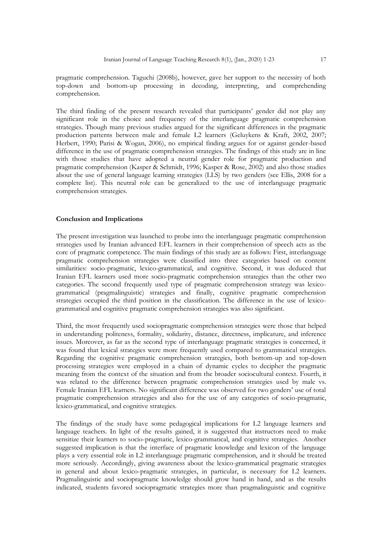pragmatic comprehension. Taguchi (2008b), however, gave her support to the necessity of both top-down and bottom-up processing in decoding, interpreting, and comprehending comprehension.

The third finding of the present research revealed that participants' gender did not play any significant role in the choice and frequency of the interlanguage pragmatic comprehension strategies. Though many previous studies argued for the significant differences in the pragmatic production patterns between male and female L2 learners (Geluykens & Kraft, 2002, 2007; Herbert, 1990; Parisi & Wogan, 2006), no empirical finding argues for or against gender-based difference in the use of pragmatic comprehension strategies. The findings of this study are in line with those studies that have adopted a neutral gender role for pragmatic production and pragmatic comprehension (Kasper & Schmidt, 1996; Kasper & Rose, 2002) and also those studies about the use of general language learning strategies (LLS) by two genders (see Ellis, 2008 for a complete list). This neutral role can be generalized to the use of interlanguage pragmatic comprehension strategies.

## **Conclusion and Implications**

The present investigation was launched to probe into the interlanguage pragmatic comprehension strategies used by Iranian advanced EFL learners in their comprehension of speech acts as the core of pragmatic competence. The main findings of this study are as follows: First, interlanguage pragmatic comprehension strategies were classified into three categories based on content similarities: socio-pragmatic, lexico-grammatical, and cognitive. Second, it was deduced that Iranian EFL learners used more socio-pragmatic comprehension strategies than the other two categories. The second frequently used type of pragmatic comprehension strategy was lexicogrammatical (pragmalinguistic) strategies and finally, cognitive pragmatic comprehension strategies occupied the third position in the classification. The difference in the use of lexicogrammatical and cognitive pragmatic comprehension strategies was also significant.

Third, the most frequently used sociopragmatic comprehension strategies were those that helped in understanding politeness, formality, solidarity, distance, directness, implicature, and inference issues. Moreover, as far as the second type of interlanguage pragmatic strategies is concerned, it was found that lexical strategies were more frequently used compared to grammatical strategies. Regarding the cognitive pragmatic comprehension strategies, both bottom-up and top-down processing strategies were employed in a chain of dynamic cycles to decipher the pragmatic meaning from the context of the situation and from the broader sociocultural context. Fourth, it was related to the difference between pragmatic comprehension strategies used by male vs. Female Iranian EFL learners. No significant difference was observed for two genders' use of total pragmatic comprehension strategies and also for the use of any categories of socio-pragmatic, lexico-grammatical, and cognitive strategies.

The findings of the study have some pedagogical implications for L2 language learners and language teachers. In light of the results gained, it is suggested that instructors need to make sensitize their learners to socio-pragmatic, lexico-grammatical, and cognitive strategies. Another suggested implication is that the interface of pragmatic knowledge and lexicon of the language plays a very essential role in L2 interlanguage pragmatic comprehension, and it should be treated more seriously. Accordingly, giving awareness about the lexico-grammatical pragmatic strategies in general and about lexico-pragmatic strategies, in particular, is necessary for L2 learners. Pragmalinguistic and sociopragmatic knowledge should grow hand in hand, and as the results indicated, students favored sociopragmatic strategies more than pragmalinguistic and cognitive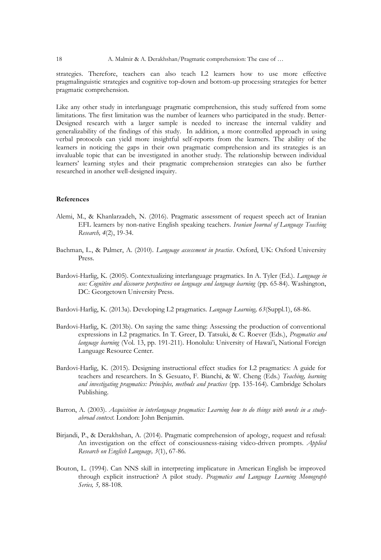strategies. Therefore, teachers can also teach L2 learners how to use more effective pragmalinguistic strategies and cognitive top-down and bottom-up processing strategies for better pragmatic comprehension.

Like any other study in interlanguage pragmatic comprehension, this study suffered from some limitations. The first limitation was the number of learners who participated in the study. Better-Designed research with a larger sample is needed to increase the internal validity and generalizability of the findings of this study. In addition, a more controlled approach in using verbal protocols can yield more insightful self-reports from the learners. The ability of the learners in noticing the gaps in their own pragmatic comprehension and its strategies is an invaluable topic that can be investigated in another study. The relationship between individual learners' learning styles and their pragmatic comprehension strategies can also be further researched in another well-designed inquiry.

## **References**

- Alemi, M., & Khanlarzadeh, N. (2016). Pragmatic assessment of request speech act of Iranian EFL learners by non-native English speaking teachers. *Iranian Journal of Language Teaching Research, 4*(2), 19-34.
- Bachman, L., & Palmer, A. (2010). *Language assessment in practice*. Oxford, UK: Oxford University Press.
- Bardovi-Harlig, K. (2005). Contextualizing interlanguage pragmatics. In A. Tyler (Ed.). *Language in use: Cognitive and discourse perspectives on language and language learning* (pp. 65-84). Washington, DC: Georgetown University Press.

Bardovi-Harlig, K. (2013a). Developing L2 pragmatics. *Language Learning, 63*(Suppl.1), 68-86.

- Bardovi-Harlig, K. (2013b). On saying the same thing: Assessing the production of conventional expressions in L2 pragmatics. In T. Greer, D. Tatsuki, & C. Roever (Eds.), *Pragmatics and language learning* (Vol. 13, pp. 191-211). Honolulu: University of Hawai'i, National Foreign Language Resource Center.
- Bardovi-Harlig, K. (2015). Designing instructional effect studies for L2 pragmatics: A guide for teachers and researchers. In S. Gesuato, F. Bianchi, & W. Cheng (Eds.) *Teaching, learning and investigating pragmatics: Principles, methods and practices* (pp. 135-164). Cambridge Scholars Publishing.
- Barron, A. (2003). *Acquisition in interlanguage pragmatics: Learning how to do things with words in a studyabroad context*. London: John Benjamin.
- Birjandi, P., & Derakhshan, A. (2014). Pragmatic comprehension of apology, request and refusal: An investigation on the effect of consciousness-raising video-driven prompts. *Applied Research on English Language, 3*(1), 67-86.
- Bouton, L. (1994). Can NNS skill in interpreting implicature in American English be improved through explicit instruction? A pilot study. *Pragmatics and Language Learning Monograph Series, 5,* 88-108.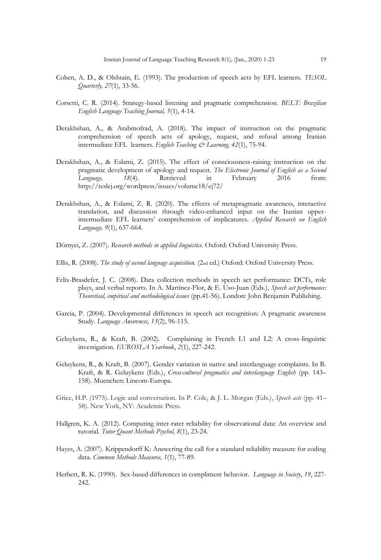- Cohen, A. D., & Olshtain, E. (1993). The production of speech acts by EFL learners. *TESOL Quarterly, 27*(1), 33-56.
- Corsetti, C. R. (2014). Strategy-based listening and pragmatic comprehension. *BELT: Brazilian English Language Teaching Journal, 5*(1), 4-14.
- Derakhshan, A., & Arabmofrad, A. (2018). The impact of instruction on the pragmatic comprehension of speech acts of apology, request, and refusal among Iranian intermediate EFL learners. *English Teaching & Learning, 42*(1), 75-94.
- Derakhshan, A., & Eslami, Z. (2015). The effect of consciousness-raising instruction on the pragmatic development of apology and request. *The Electronic Journal of English as a Second Language, 18*(4). Retrieved in February 2016 from: http://teslej.org/wordpress/issues/volume18/ej72/
- Derakhshan, A., & Eslami, Z. R. (2020). The effects of metapragmatic awareness, interactive translation, and discussion through video-enhanced input on the Iranian upperintermediate EFL learners' comprehension of implicatures. *Applied Research on English Language, 9*(1), 637-664.
- Dörnyei, Z. (2007). *Research methods in applied linguistics.* Oxford: Oxford University Press.
- Ellis, R. (2008). *The study of second language acquisition.* (2nd ed.) Oxford: Oxford University Press.
- Felix-Brasdefer, J. C. (2008). Data collection methods in speech act performance: DCTs, role plays, and verbal reports. In A. Martinez-Flor, & E. Uso-Juan (Eds.), *Speech act performance: Theoretical, empirical and methodological issues* (pp.41-56). London: John Benjamin Publishing.
- Garcia, P. (2004). Developmental differences in speech act recognition: A pragmatic awareness Study. *Language Awareness, 13*(2), 96-115.
- Geluykens, R., & Kraft, B. (2002). Complaining in French L1 and L2: A cross-linguistic investigation. *EUROSLA Yearbook*, *2*(1), 227-242.
- Geluykens, R., & Kraft, B. (2007). Gender variation in native and interlanguage complaints. In B. Kraft, & R. Geluykens (Eds.), *Cross-cultural pragmatics and interlanguage English* (pp. 143– 158). Muenchen: Lincom-Europa.
- Grice, H.P. (1975). Logic and conversation. In P. Cole, & J. L. Morgan (Eds.), *Speech acts* (pp. 41– 58). New York, NY: Academic Press.
- Hallgren, K. A. (2012). Computing inter-rater reliability for observational data: An overview and tutorial. *Tutor Quant Methods Psychol, 8*(1), 23-24.
- Hayes, A. (2007). Krippendorff K: Answering the call for a standard reliability measure for coding data. *Common Methods Measures, 1*(1), 77-89.
- Herbert, R. K. (1990). Sex-based differences in compliment behavior. *Language in Society*, *19*, 227- 242.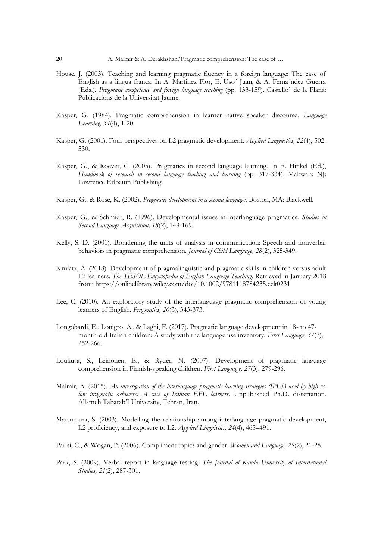- House, J. (2003). Teaching and learning pragmatic fluency in a foreign language: The case of English as a lingua franca. In A. Martinez Flor, E. Uso´ Juan, & A. Ferna´ndez Guerra (Eds.), *Pragmatic competence and foreign language teaching* (pp. 133-159). Castello` de la Plana: Publicacions de la Universitat Jaume.
- Kasper, G. (1984). Pragmatic comprehension in learner native speaker discourse. *Language Learning, 34*(4), 1-20.
- Kasper, G. (2001). Four perspectives on L2 pragmatic development. *Applied Linguistics, 22*(4), 502- 530.
- Kasper, G., & Roever, C. (2005). Pragmatics in second language learning. In E. Hinkel (Ed.), *Handbook of research in second language teaching and learning* (pp. 317-334). Mahwah: NJ: Lawrence Erlbaum Publishing.
- Kasper, G., & Rose, K. (2002). *Pragmatic development in a second language*. Boston, MA: Blackwell.
- Kasper, G., & Schmidt, R. (1996). Developmental issues in interlanguage pragmatics. *Studies in Second Language Acquisition, 18*(2), 149-169.
- Kelly, S. D. (2001). Broadening the units of analysis in communication: Speech and nonverbal behaviors in pragmatic comprehension. *Journal of Child Language, 28*(2), 325-349.
- Krulatz, A. (2018). Development of pragmalinguistic and pragmatic skills in children versus adult L2 learners. *The TESOL Encyclopedia of English Language Teaching.* Retrieved in January 2018 from: https://onlinelibrary.wiley.com/doi/10.1002/9781118784235.eelt0231
- Lee, C. (2010). An exploratory study of the interlanguage pragmatic comprehension of young learners of English. *Pragmatics, 20*(3), 343-373.
- Longobardi, E., Lonigro, A., & Laghi, F. (2017). Pragmatic language development in 18- to 47 month-old Italian children: A study with the language use inventory. *First Language, 37*(3), 252-266.
- Loukusa, S., Leinonen, E., & Ryder, N. (2007). Development of pragmatic language comprehension in Finnish-speaking children. *First Language, 27*(3), 279-296.
- Malmir, A. (2015). *An investigation of the interlanguage pragmatic learning strategies (IPLS) used by high vs. low pragmatic achievers: A case of Iranian EFL learners*. Unpublished Ph.D. dissertation. Allameh Tabatab'I University, Tehran, Iran.
- Matsumura, S. (2003). Modelling the relationship among interlanguage pragmatic development, L2 proficiency, and exposure to L2. *Applied Linguistics, 24*(4), 465–491.
- Parisi, C., & Wogan, P. (2006). Compliment topics and gender. *Women and Language, 29*(2), 21-28.
- Park, S. (2009). Verbal report in language testing. *The Journal of Kanda University of International Studies, 21*(2), 287-301.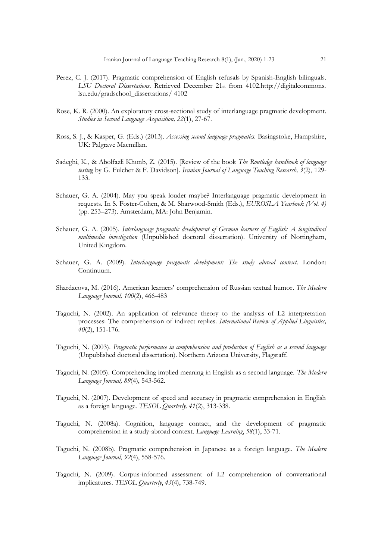- Perez, C. J. (2017). Pragmatic comprehension of English refusals by Spanish-English bilinguals. *LSU Doctoral Dissertations*. Retrieved December 21st from 4102.http://digitalcommons. lsu.edu/gradschool\_dissertations/ 4102
- Rose, K. R. (2000). An exploratory cross-sectional study of interlanguage pragmatic development. *Studies in Second Language Acquisition, 22*(1), 27-67.
- Ross, S. J., & Kasper, G. (Eds.) (2013). *Assessing second language pragmatics.* Basingstoke, Hampshire, UK: Palgrave Macmillan.
- Sadeghi, K., & Abolfazli Khonb, Z. (2015). [Review of the book *The Routledge handbook of language testing* by G. Fulcher & F. Davidson]*. Iranian Journal of Language Teaching Research, 3*(2), 129- 133.
- Schauer, G. A. (2004). May you speak louder maybe? Interlanguage pragmatic development in requests. In S. Foster-Cohen, & M. Sharwood-Smith (Eds.), *EUROSLA Yearbook (Vol. 4)*  (pp. 253–273). Amsterdam, MA: John Benjamin.
- Schauer, G. A. (2005). *Interlanguage pragmatic development of German learners of English: A longitudinal multimedia investigation* (Unpublished doctoral dissertation). University of Nottingham, United Kingdom.
- Schauer, G. A. (2009). *Interlanguage pragmatic development: The study abroad context*. London: Continuum.
- Shardacova, M. (2016). American learners' comprehension of Russian textual humor. *The Modern Language Journal, 100*(2), 466-483
- Taguchi, N. (2002). An application of relevance theory to the analysis of L2 interpretation processes: The comprehension of indirect replies. *International Review of Applied Linguistics, 40*(2), 151-176.
- Taguchi, N. (2003). *Pragmatic performance in comprehension and production of English as a second language*  (Unpublished doctoral dissertation). Northern Arizona University, Flagstaff.
- Taguchi, N. (2005). Comprehending implied meaning in English as a second language. *The Modern Language Journal, 89*(4), 543-562.
- Taguchi, N. (2007). Development of speed and accuracy in pragmatic comprehension in English as a foreign language. *TESOL Quarterly, 41*(2), 313-338.
- Taguchi, N. (2008a). Cognition, language contact, and the development of pragmatic comprehension in a study-abroad context. *Language Learning*, *58*(1), 33-71.
- Taguchi, N. (2008b). Pragmatic comprehension in Japanese as a foreign language. *The Modern Language Journal*, *92*(4), 558-576.
- Taguchi, N. (2009). Corpus-informed assessment of L2 comprehension of conversational implicatures. *TESOL Quarterly*, *43*(4), 738-749.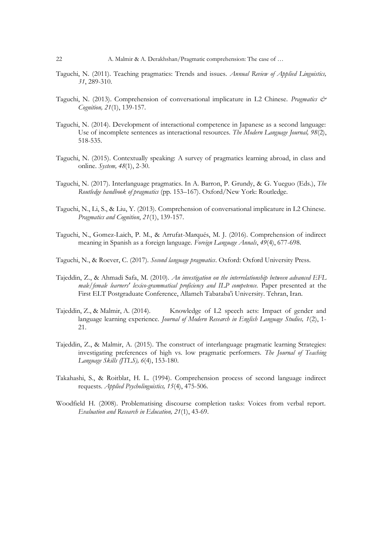- Taguchi, N. (2011). Teaching pragmatics: Trends and issues. *Annual Review of Applied Linguistics, 31*, 289-310.
- Taguchi, N. (2013). Comprehension of conversational implicature in L2 Chinese. *Pragmatics & Cognition, 21*(1), 139-157.
- Taguchi, N. (2014). Development of interactional competence in Japanese as a second language: Use of incomplete sentences as interactional resources. *The Modern Language Journal, 98*(2), 518-535.
- Taguchi, N. (2015). Contextually speaking: A survey of pragmatics learning abroad, in class and online. *System, 48*(1), 2-30.
- Taguchi, N. (2017). Interlanguage pragmatics. In A. Barron, P. Grundy, & G. Yueguo (Eds.), *The Routledge handbook of pragmatics* (pp. 153–167). Oxford/New York: Routledge.
- Taguchi, N., Li, S., & Liu, Y. (2013). Comprehension of conversational implicature in L2 Chinese. *Pragmatics and Cognition*, *21*(1), 139-157.
- Taguchi, N., Gomez-Laich, P. M., & Arrufat-Marqués, M. J. (2016). Comprehension of indirect meaning in Spanish as a foreign language. *Foreign Language Annals*, *49*(4), 677-698.
- Taguchi, N., & Roever, C. (2017). *Second language pragmatics*. Oxford: Oxford University Press.
- Tajeddin, Z., & Ahmadi Safa, M. (2010). *An investigation on the interrelationship between advanced EFL male/female learners' lexico-grammatical proficiency and ILP competence.* Paper presented at the First ELT Postgraduate Conference, Allameh Tabataba'i University. Tehran, Iran.
- Tajeddin, Z., & Malmir, A. (2014). Knowledge of L2 speech acts: Impact of gender and language learning experience. *Journal of Modern Research in English Language Studies, 1*(2), 1- 21.
- Tajeddin, Z., & Malmir, A. (2015). The construct of interlanguage pragmatic learning Strategies: investigating preferences of high vs. low pragmatic performers. *The Journal of Teaching Language Skills (JTLS), 6*(4), 153-180.
- Takahashi, S., & Roitblat, H. L. (1994). Comprehension process of second language indirect requests. *Applied Psycholinguistics, 15*(4), 475-506.
- Woodfield H. (2008). Problematising discourse completion tasks: Voices from verbal report. *Evaluation and Research in Education, 21*(1), 43-69.